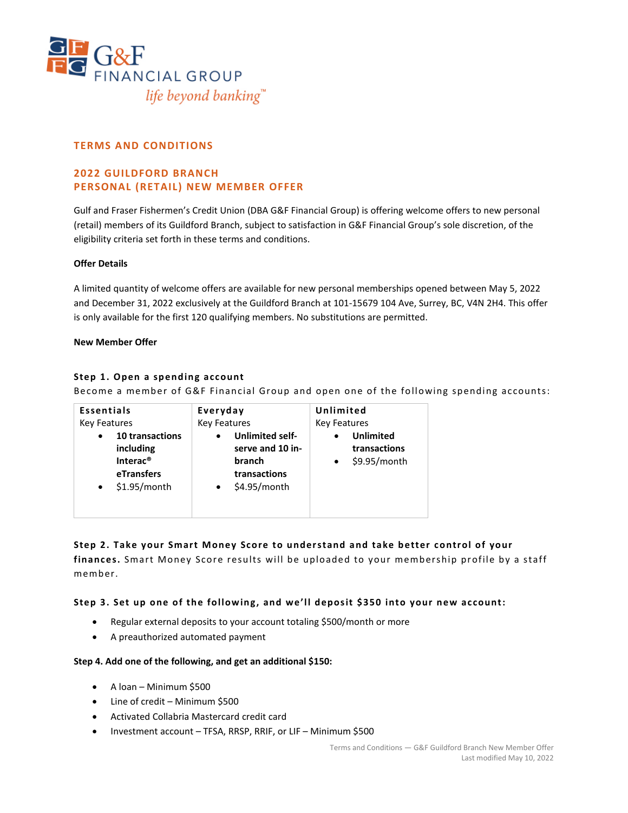

# **TERMS AND CONDITIONS**

# **2022 GUILDFORD BRANCH PERSONAL (RETAIL) NEW MEMBER OFFER**

Gulf and Fraser Fishermen's Credit Union (DBA G&F Financial Group) is offering welcome offers to new personal (retail) members of its Guildford Branch, subject to satisfaction in G&F Financial Group's sole discretion, of the eligibility criteria set forth in these terms and conditions.

#### **Offer Details**

A limited quantity of welcome offers are available for new personal memberships opened between May 5, 2022 and December 31, 2022 exclusively at the Guildford Branch at 101-15679 104 Ave, Surrey, BC, V4N 2H4. This offer is only available for the first 120 qualifying members. No substitutions are permitted.

#### **New Member Offer**

### **Step 1. Open a spending account**

Become a member of G&F Financial Group and open one of the following spending accounts:

| <b>Essentials</b>                                                                      | Everyday                                                             | Unlimited                                                                  |
|----------------------------------------------------------------------------------------|----------------------------------------------------------------------|----------------------------------------------------------------------------|
| Key Features                                                                           | <b>Key Features</b>                                                  | <b>Key Features</b>                                                        |
| <b>10 transactions</b><br>$\bullet$<br>including<br>Interac <sup>®</sup><br>eTransfers | <b>Unlimited self-</b><br>serve and 10 in-<br>branch<br>transactions | <b>Unlimited</b><br>$\bullet$<br>transactions<br>\$9.95/month<br>$\bullet$ |
| $$1.95/m$ onth<br>$\bullet$                                                            | \$4.95/month                                                         |                                                                            |

### **Step 2. Take your Smart Money Score to understand and take better control of your**

**finances.** Smart Money Score results will be uploaded to your membership profile by a staff member.

### **Step 3. Set up one of the following, and we'll deposit \$350 into your new account:**

- Regular external deposits to your account totaling \$500/month or more
- A preauthorized automated payment

### **Step 4. Add one of the following, and get an additional \$150:**

- A loan Minimum \$500
- Line of credit Minimum \$500
- Activated Collabria Mastercard credit card
- Investment account TFSA, RRSP, RRIF, or LIF Minimum \$500